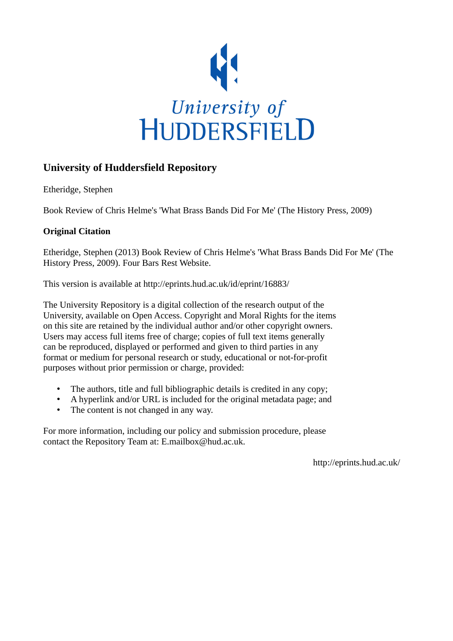

## **University of Huddersfield Repository**

Etheridge, Stephen

Book Review of Chris Helme's 'What Brass Bands Did For Me' (The History Press, 2009)

## **Original Citation**

Etheridge, Stephen (2013) Book Review of Chris Helme's 'What Brass Bands Did For Me' (The History Press, 2009). Four Bars Rest Website.

This version is available at http://eprints.hud.ac.uk/id/eprint/16883/

The University Repository is a digital collection of the research output of the University, available on Open Access. Copyright and Moral Rights for the items on this site are retained by the individual author and/or other copyright owners. Users may access full items free of charge; copies of full text items generally can be reproduced, displayed or performed and given to third parties in any format or medium for personal research or study, educational or not-for-profit purposes without prior permission or charge, provided:

- The authors, title and full bibliographic details is credited in any copy;
- A hyperlink and/or URL is included for the original metadata page; and
- The content is not changed in any way.

For more information, including our policy and submission procedure, please contact the Repository Team at: E.mailbox@hud.ac.uk.

http://eprints.hud.ac.uk/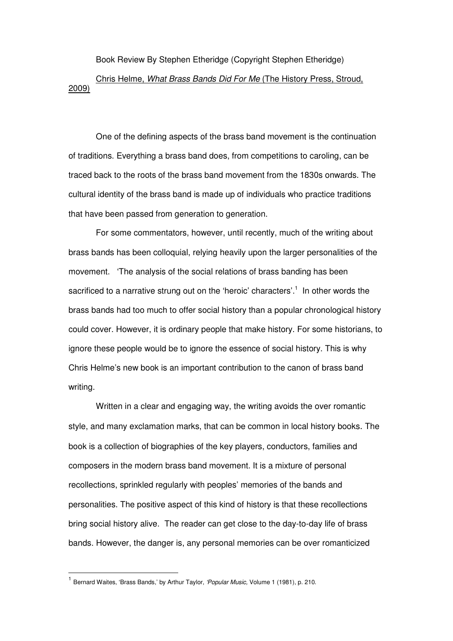Book Review By Stephen Etheridge (Copyright Stephen Etheridge)

Chris Helme, What Brass Bands Did For Me (The History Press, Stroud, 2009)

One of the defining aspects of the brass band movement is the continuation of traditions. Everything a brass band does, from competitions to caroling, can be traced back to the roots of the brass band movement from the 1830s onwards. The cultural identity of the brass band is made up of individuals who practice traditions that have been passed from generation to generation.

For some commentators, however, until recently, much of the writing about brass bands has been colloquial, relying heavily upon the larger personalities of the movement. 'The analysis of the social relations of brass banding has been sacrificed to a narrative strung out on the 'heroic' characters'.<sup>1</sup> In other words the brass bands had too much to offer social history than a popular chronological history could cover. However, it is ordinary people that make history. For some historians, to ignore these people would be to ignore the essence of social history. This is why Chris Helme's new book is an important contribution to the canon of brass band writing.

Written in a clear and engaging way, the writing avoids the over romantic style, and many exclamation marks, that can be common in local history books. The book is a collection of biographies of the key players, conductors, families and composers in the modern brass band movement. It is a mixture of personal recollections, sprinkled regularly with peoples' memories of the bands and personalities. The positive aspect of this kind of history is that these recollections bring social history alive. The reader can get close to the day-to-day life of brass bands. However, the danger is, any personal memories can be over romanticized

 $\overline{a}$ 

<sup>&</sup>lt;sup>1</sup> Bernard Waites, 'Brass Bands,' by Arthur Taylor, 'Popular Music, Volume 1 (1981), p. 210.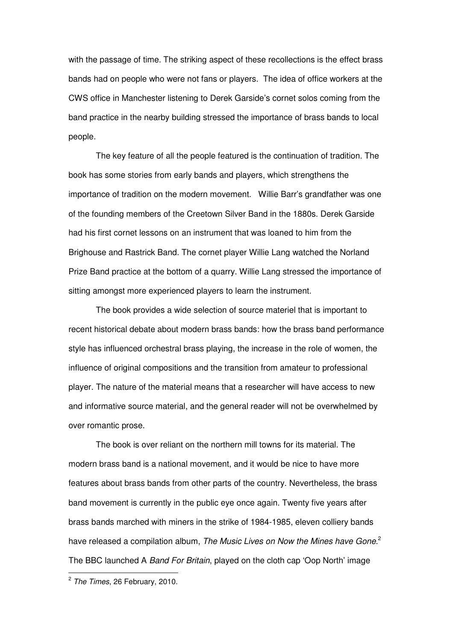with the passage of time. The striking aspect of these recollections is the effect brass bands had on people who were not fans or players. The idea of office workers at the CWS office in Manchester listening to Derek Garside's cornet solos coming from the band practice in the nearby building stressed the importance of brass bands to local people.

The key feature of all the people featured is the continuation of tradition. The book has some stories from early bands and players, which strengthens the importance of tradition on the modern movement. Willie Barr's grandfather was one of the founding members of the Creetown Silver Band in the 1880s. Derek Garside had his first cornet lessons on an instrument that was loaned to him from the Brighouse and Rastrick Band. The cornet player Willie Lang watched the Norland Prize Band practice at the bottom of a quarry. Willie Lang stressed the importance of sitting amongst more experienced players to learn the instrument.

The book provides a wide selection of source materiel that is important to recent historical debate about modern brass bands: how the brass band performance style has influenced orchestral brass playing, the increase in the role of women, the influence of original compositions and the transition from amateur to professional player. The nature of the material means that a researcher will have access to new and informative source material, and the general reader will not be overwhelmed by over romantic prose.

The book is over reliant on the northern mill towns for its material. The modern brass band is a national movement, and it would be nice to have more features about brass bands from other parts of the country. Nevertheless, the brass band movement is currently in the public eye once again. Twenty five years after brass bands marched with miners in the strike of 1984-1985, eleven colliery bands have released a compilation album, The Music Lives on Now the Mines have Gone.<sup>2</sup> The BBC launched A Band For Britain, played on the cloth cap 'Oop North' image

 $\overline{a}$ 

<sup>&</sup>lt;sup>2</sup> The Times, 26 February, 2010.